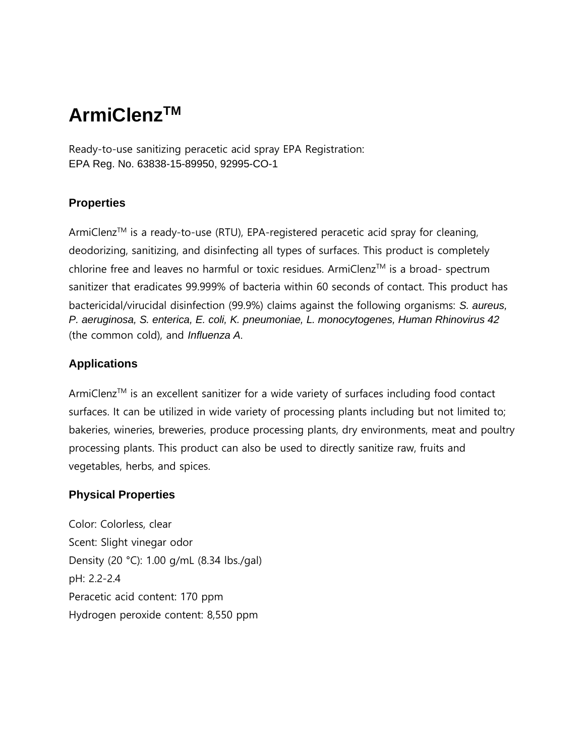# **ArmiClenzTM**

Ready-to-use sanitizing peracetic acid spray EPA Registration: EPA Reg. No. 63838-15-89950, 92995-CO-1

## **Properties**

ArmiClenz<sup>TM</sup> is a ready-to-use (RTU), EPA-registered peracetic acid spray for cleaning, deodorizing, sanitizing, and disinfecting all types of surfaces. This product is completely chlorine free and leaves no harmful or toxic residues. ArmiClenz<sup>TM</sup> is a broad- spectrum sanitizer that eradicates 99.999% of bacteria within 60 seconds of contact. This product has bactericidal/virucidal disinfection (99.9%) claims against the following organisms: *S. aureus, P. aeruginosa, S. enterica, E. coli, K. pneumoniae, L. monocytogenes, Human Rhinovirus 42*  (the common cold), and *Influenza A*.

## **Applications**

ArmiClenz™ is an excellent sanitizer for a wide variety of surfaces including food contact surfaces. It can be utilized in wide variety of processing plants including but not limited to; bakeries, wineries, breweries, produce processing plants, dry environments, meat and poultry processing plants. This product can also be used to directly sanitize raw, fruits and vegetables, herbs, and spices.

## **Physical Properties**

Color: Colorless, clear Scent: Slight vinegar odor Density (20 °C): 1.00 g/mL (8.34 lbs./gal) pH: 2.2-2.4 Peracetic acid content: 170 ppm Hydrogen peroxide content: 8,550 ppm